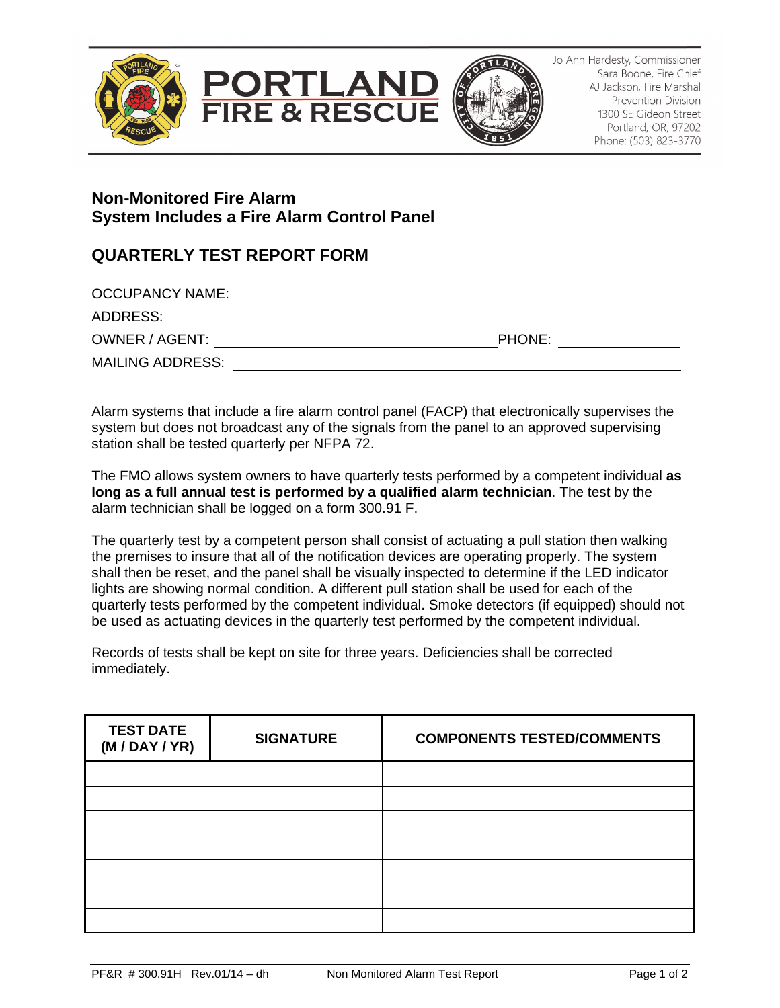





Jo Ann Hardesty, Commissioner Sara Boone, Fire Chief AJ Jackson, Fire Marshal Prevention Division 1300 SE Gideon Street Portland, OR, 97202 Phone: (503) 823-3770

## **Non-Monitored Fire Alarm System Includes a Fire Alarm Control Panel**

## **QUARTERLY TEST REPORT FORM**

| <b>OCCUPANCY NAME:</b>  |               |  |
|-------------------------|---------------|--|
| ADDRESS:                |               |  |
| OWNER / AGENT:          | <b>PHONE:</b> |  |
| <b>MAILING ADDRESS:</b> |               |  |

Alarm systems that include a fire alarm control panel (FACP) that electronically supervises the system but does not broadcast any of the signals from the panel to an approved supervising station shall be tested quarterly per NFPA 72.

The FMO allows system owners to have quarterly tests performed by a competent individual **as long as a full annual test is performed by a qualified alarm technician**. The test by the alarm technician shall be logged on a form 300.91 F.

The quarterly test by a competent person shall consist of actuating a pull station then walking the premises to insure that all of the notification devices are operating properly. The system shall then be reset, and the panel shall be visually inspected to determine if the LED indicator lights are showing normal condition. A different pull station shall be used for each of the quarterly tests performed by the competent individual. Smoke detectors (if equipped) should not be used as actuating devices in the quarterly test performed by the competent individual.

Records of tests shall be kept on site for three years. Deficiencies shall be corrected immediately.

| <b>TEST DATE</b><br>(M/DAY/YR) | <b>SIGNATURE</b> | <b>COMPONENTS TESTED/COMMENTS</b> |
|--------------------------------|------------------|-----------------------------------|
|                                |                  |                                   |
|                                |                  |                                   |
|                                |                  |                                   |
|                                |                  |                                   |
|                                |                  |                                   |
|                                |                  |                                   |
|                                |                  |                                   |